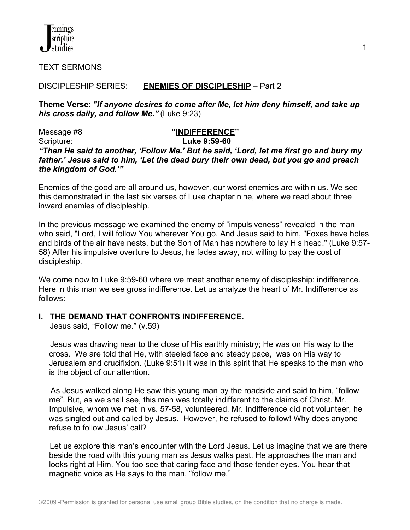

TEXT SERMONS

## DISCIPLESHIP SERIES: **ENEMIES OF DISCIPLESHIP** – Part 2

**Theme Verse:** *"If anyone desires to come after Me, let him deny himself, and take up his cross daily, and follow Me."* (Luke 9:23)

1

Message #8 **"INDIFFERENCE"** Scripture: **Luke 9:59-60** *"Then He said to another, 'Follow Me.' But he said, 'Lord, let me first go and bury my father.' Jesus said to him, 'Let the dead bury their own dead, but you go and preach the kingdom of God.'"*

Enemies of the good are all around us, however, our worst enemies are within us. We see this demonstrated in the last six verses of Luke chapter nine, where we read about three inward enemies of discipleship.

In the previous message we examined the enemy of "impulsiveness" revealed in the man who said, "Lord, I will follow You wherever You go. And Jesus said to him, "Foxes have holes and birds of the air have nests, but the Son of Man has nowhere to lay His head." (Luke 9:57- 58) After his impulsive overture to Jesus, he fades away, not willing to pay the cost of discipleship.

We come now to Luke 9:59-60 where we meet another enemy of discipleship: indifference. Here in this man we see gross indifference. Let us analyze the heart of Mr. Indifference as follows:

### **I. THE DEMAND THAT CONFRONTS INDIFFERENCE.**

Jesus said, "Follow me." (v.59)

 Jesus was drawing near to the close of His earthly ministry; He was on His way to the cross. We are told that He, with steeled face and steady pace, was on His way to Jerusalem and crucifixion. (Luke 9:51) It was in this spirit that He speaks to the man who is the object of our attention.

 As Jesus walked along He saw this young man by the roadside and said to him, "follow me". But, as we shall see, this man was totally indifferent to the claims of Christ. Mr. Impulsive, whom we met in vs. 57-58, volunteered. Mr. Indifference did not volunteer, he was singled out and called by Jesus. However, he refused to follow! Why does anyone refuse to follow Jesus' call?

 Let us explore this man's encounter with the Lord Jesus. Let us imagine that we are there beside the road with this young man as Jesus walks past. He approaches the man and looks right at Him. You too see that caring face and those tender eyes. You hear that magnetic voice as He says to the man, "follow me."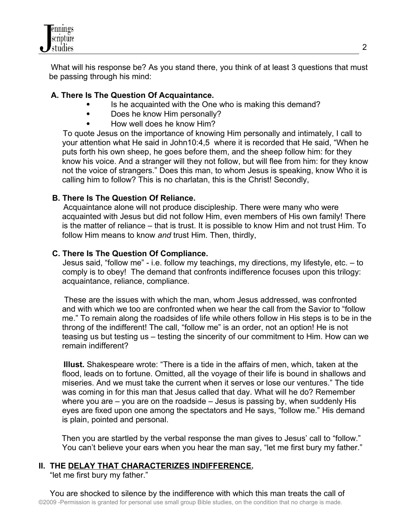

 What will his response be? As you stand there, you think of at least 3 questions that must be passing through his mind:

## **A. There Is The Question Of Acquaintance.**

- Is he acquainted with the One who is making this demand?
- Does he know Him personally?
- How well does he know Him?

 To quote Jesus on the importance of knowing Him personally and intimately, I call to your attention what He said in John10:4,5 where it is recorded that He said, "When he puts forth his own sheep, he goes before them, and the sheep follow him: for they know his voice. And a stranger will they not follow, but will flee from him: for they know not the voice of strangers." Does this man, to whom Jesus is speaking, know Who it is calling him to follow? This is no charlatan, this is the Christ! Secondly,

## **B. There Is The Question Of Reliance.**

 Acquaintance alone will not produce discipleship. There were many who were acquainted with Jesus but did not follow Him, even members of His own family! There is the matter of reliance – that is trust. It is possible to know Him and not trust Him. To follow Him means to know *and* trust Him. Then, thirdly,

## **C. There Is The Question Of Compliance.**

 Jesus said, "follow me" - i.e. follow my teachings, my directions, my lifestyle, etc. – to comply is to obey! The demand that confronts indifference focuses upon this trilogy: acquaintance, reliance, compliance.

 These are the issues with which the man, whom Jesus addressed, was confronted and with which we too are confronted when we hear the call from the Savior to "follow me." To remain along the roadsides of life while others follow in His steps is to be in the throng of the indifferent! The call, "follow me" is an order, not an option! He is not teasing us but testing us – testing the sincerity of our commitment to Him. How can we remain indifferent?

 **Illust.** Shakespeare wrote: "There is a tide in the affairs of men, which, taken at the flood, leads on to fortune. Omitted, all the voyage of their life is bound in shallows and miseries. And we must take the current when it serves or lose our ventures." The tide was coming in for this man that Jesus called that day. What will he do? Remember where you are – you are on the roadside – Jesus is passing by, when suddenly His eyes are fixed upon one among the spectators and He says, "follow me." His demand is plain, pointed and personal.

 Then you are startled by the verbal response the man gives to Jesus' call to "follow." You can't believe your ears when you hear the man say, "let me first bury my father."

## **II. THE DELAY THAT CHARACTERIZES INDIFFERENCE.**

"let me first bury my father."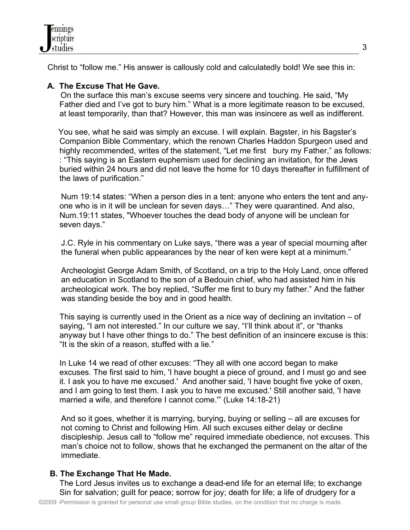

Christ to "follow me." His answer is callously cold and calculatedly bold! We see this in:

# **A. The Excuse That He Gave.**

On the surface this man's excuse seems very sincere and touching. He said, "My Father died and I've got to bury him." What is a more legitimate reason to be excused, at least temporarily, than that? However, this man was insincere as well as indifferent.

 You see, what he said was simply an excuse. I will explain. Bagster, in his Bagster's Companion Bible Commentary, which the renown Charles Haddon Spurgeon used and highly recommended, writes of the statement, "Let me first bury my Father," as follows: : "This saying is an Eastern euphemism used for declining an invitation, for the Jews buried within 24 hours and did not leave the home for 10 days thereafter in fulfillment of the laws of purification."

 Num 19:14 states: "When a person dies in a tent: anyone who enters the tent and anyone who is in it will be unclean for seven days…" They were quarantined. And also, Num.19:11 states, "Whoever touches the dead body of anyone will be unclean for seven days."

 J.C. Ryle in his commentary on Luke says, "there was a year of special mourning after the funeral when public appearances by the near of ken were kept at a minimum."

 Archeologist George Adam Smith, of Scotland, on a trip to the Holy Land, once offered an education in Scotland to the son of a Bedouin chief, who had assisted him in his archeological work. The boy replied, "Suffer me first to bury my father." And the father was standing beside the boy and in good health.

This saying is currently used in the Orient as a nice way of declining an invitation – of saying, "I am not interested." In our culture we say, "I'll think about it", or "thanks anyway but I have other things to do." The best definition of an insincere excuse is this: "It is the skin of a reason, stuffed with a lie."

In Luke 14 we read of other excuses: "They all with one accord began to make excuses. The first said to him, 'I have bought a piece of ground, and I must go and see it. I ask you to have me excused.' And another said, 'I have bought five yoke of oxen, and I am going to test them. I ask you to have me excused.' Still another said, 'I have married a wife, and therefore I cannot come.'" (Luke 14:18-21)

 And so it goes, whether it is marrying, burying, buying or selling – all are excuses for not coming to Christ and following Him. All such excuses either delay or decline discipleship. Jesus call to "follow me" required immediate obedience, not excuses. This man's choice not to follow, shows that he exchanged the permanent on the altar of the immediate.

### **B. The Exchange That He Made.**

The Lord Jesus invites us to exchange a dead-end life for an eternal life; to exchange Sin for salvation; guilt for peace; sorrow for joy; death for life; a life of drudgery for a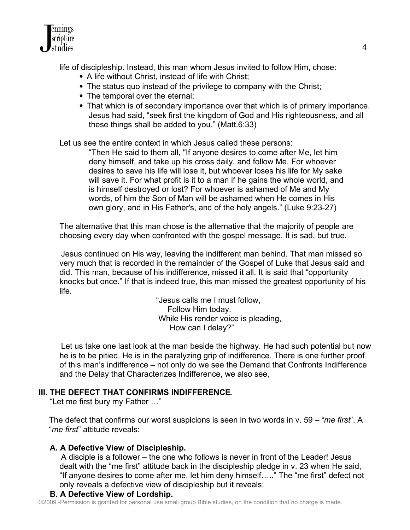

life of discipleship. Instead, this man whom Jesus invited to follow Him, chose:

- A life without Christ, instead of life with Christ;
- The status quo instead of the privilege to company with the Christ;
- The temporal over the eternal;
- That which is of secondary importance over that which is of primary importance. Jesus had said, "seek first the kingdom of God and His righteousness, and all these things shall be added to you." (Matt.6:33)

Let us see the entire context in which Jesus called these persons:

 "Then He said to them all, "If anyone desires to come after Me, let him deny himself, and take up his cross daily, and follow Me. For whoever desires to save his life will lose it, but whoever loses his life for My sake will save it. For what profit is it to a man if he gains the whole world, and is himself destroyed or lost? For whoever is ashamed of Me and My words, of him the Son of Man will be ashamed when He comes in His own glory, and in His Father's, and of the holy angels." (Luke 9:23-27)

The alternative that this man chose is the alternative that the majority of people are choosing every day when confronted with the gospel message. It is sad, but true.

 Jesus continued on His way, leaving the indifferent man behind. That man missed so very much that is recorded in the remainder of the Gospel of Luke that Jesus said and did. This man, because of his indifference, missed it all. It is said that "opportunity knocks but once." If that is indeed true, this man missed the greatest opportunity of his life.

> "Jesus calls me I must follow, Follow Him today. While His render voice is pleading, How can I delay?"

 Let us take one last look at the man beside the highway. He had such potential but now he is to be pitied. He is in the paralyzing grip of indifference. There is one further proof of this man's indifference – not only do we see the Demand that Confronts Indifference and the Delay that Characterizes Indifference, we also see,

# **III. THE DEFECT THAT CONFIRMS INDIFFERENCE.**

"Let me first bury my Father …"

The defect that confirms our worst suspicions is seen in two words in v. 59 – "*me first*". A "*me first*" attitude reveals:

# **A. A Defective View of Discipleship.**

 A disciple is a follower – the one who follows is never in front of the Leader! Jesus dealt with the "me first" attitude back in the discipleship pledge in v. 23 when He said, "If anyone desires to come after me, let him deny himself….." The "me first" defect not only reveals a defective view of discipleship but it reveals:

# **B. A Defective View of Lordship.**

©2009 -Permission is granted for personal use small group Bible studies, on the condition that no charge is made.